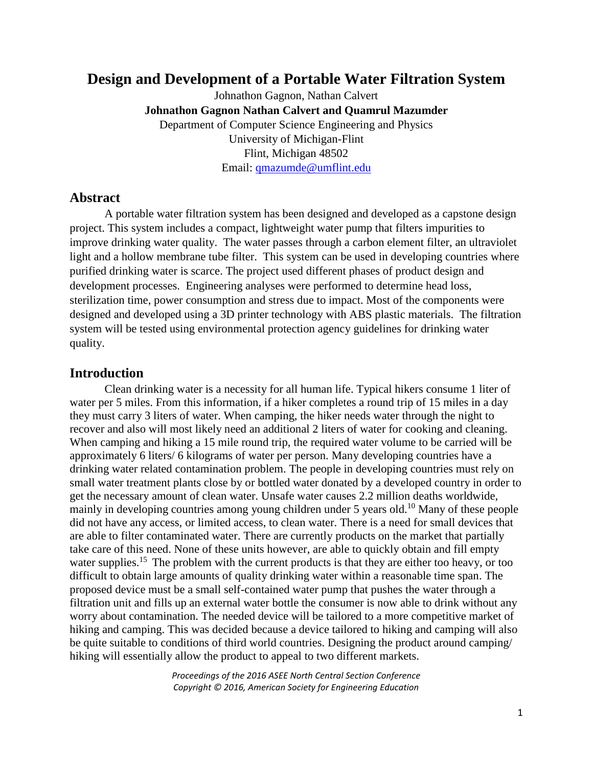# **Design and Development of a Portable Water Filtration System**

Johnathon Gagnon, Nathan Calvert **Johnathon Gagnon Nathan Calvert and Quamrul Mazumder**  Department of Computer Science Engineering and Physics University of Michigan-Flint Flint, Michigan 48502 Email: [qmazumde@umflint.edu](mailto:qmazumde@umflint.edu)

### **Abstract**

A portable water filtration system has been designed and developed as a capstone design project. This system includes a compact, lightweight water pump that filters impurities to improve drinking water quality. The water passes through a carbon element filter, an ultraviolet light and a hollow membrane tube filter. This system can be used in developing countries where purified drinking water is scarce. The project used different phases of product design and development processes. Engineering analyses were performed to determine head loss, sterilization time, power consumption and stress due to impact. Most of the components were designed and developed using a 3D printer technology with ABS plastic materials. The filtration system will be tested using environmental protection agency guidelines for drinking water quality.

### **Introduction**

Clean drinking water is a necessity for all human life. Typical hikers consume 1 liter of water per 5 miles. From this information, if a hiker completes a round trip of 15 miles in a day they must carry 3 liters of water. When camping, the hiker needs water through the night to recover and also will most likely need an additional 2 liters of water for cooking and cleaning. When camping and hiking a 15 mile round trip, the required water volume to be carried will be approximately 6 liters/ 6 kilograms of water per person. Many developing countries have a drinking water related contamination problem. The people in developing countries must rely on small water treatment plants close by or bottled water donated by a developed country in order to get the necessary amount of clean water. Unsafe water causes 2.2 million deaths worldwide, mainly in developing countries among young children under 5 years old.<sup>10</sup> Many of these people did not have any access, or limited access, to clean water. There is a need for small devices that are able to filter contaminated water. There are currently products on the market that partially take care of this need. None of these units however, are able to quickly obtain and fill empty water supplies.<sup>15</sup> The problem with the current products is that they are either too heavy, or too difficult to obtain large amounts of quality drinking water within a reasonable time span. The proposed device must be a small self-contained water pump that pushes the water through a filtration unit and fills up an external water bottle the consumer is now able to drink without any worry about contamination. The needed device will be tailored to a more competitive market of hiking and camping. This was decided because a device tailored to hiking and camping will also be quite suitable to conditions of third world countries. Designing the product around camping/ hiking will essentially allow the product to appeal to two different markets.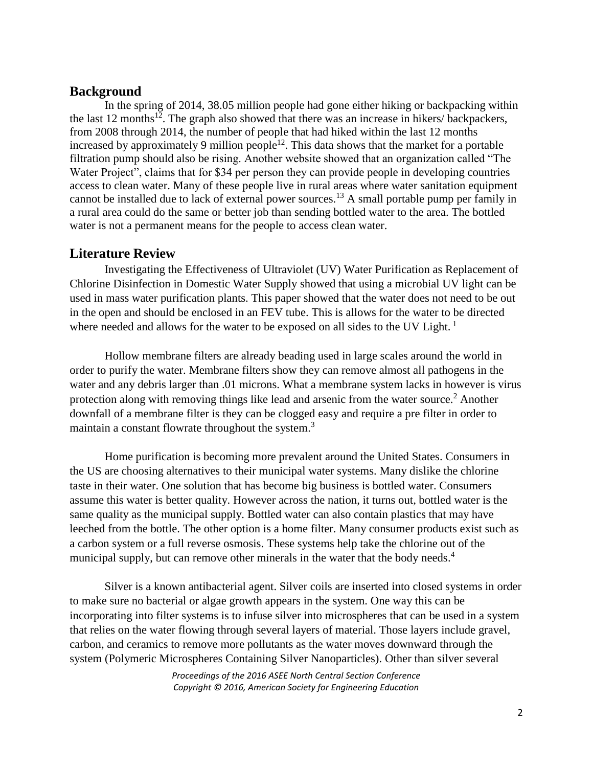### **Background**

In the spring of 2014, 38.05 million people had gone either hiking or backpacking within the last 12 months<sup>12</sup>. The graph also showed that there was an increase in hikers/ backpackers, from 2008 through 2014, the number of people that had hiked within the last 12 months increased by approximately 9 million people<sup>12</sup>. This data shows that the market for a portable filtration pump should also be rising. Another website showed that an organization called "The Water Project", claims that for \$34 per person they can provide people in developing countries access to clean water. Many of these people live in rural areas where water sanitation equipment cannot be installed due to lack of external power sources.<sup>13</sup> A small portable pump per family in a rural area could do the same or better job than sending bottled water to the area. The bottled water is not a permanent means for the people to access clean water.

### **Literature Review**

Investigating the Effectiveness of Ultraviolet (UV) Water Purification as Replacement of Chlorine Disinfection in Domestic Water Supply showed that using a microbial UV light can be used in mass water purification plants. This paper showed that the water does not need to be out in the open and should be enclosed in an FEV tube. This is allows for the water to be directed where needed and allows for the water to be exposed on all sides to the UV Light.<sup>1</sup>

Hollow membrane filters are already beading used in large scales around the world in order to purify the water. Membrane filters show they can remove almost all pathogens in the water and any debris larger than .01 microns. What a membrane system lacks in however is virus protection along with removing things like lead and arsenic from the water source.<sup>2</sup> Another downfall of a membrane filter is they can be clogged easy and require a pre filter in order to maintain a constant flowrate throughout the system.<sup>3</sup>

Home purification is becoming more prevalent around the United States. Consumers in the US are choosing alternatives to their municipal water systems. Many dislike the chlorine taste in their water. One solution that has become big business is bottled water. Consumers assume this water is better quality. However across the nation, it turns out, bottled water is the same quality as the municipal supply. Bottled water can also contain plastics that may have leeched from the bottle. The other option is a home filter. Many consumer products exist such as a carbon system or a full reverse osmosis. These systems help take the chlorine out of the municipal supply, but can remove other minerals in the water that the body needs.<sup>4</sup>

Silver is a known antibacterial agent. Silver coils are inserted into closed systems in order to make sure no bacterial or algae growth appears in the system. One way this can be incorporating into filter systems is to infuse silver into microspheres that can be used in a system that relies on the water flowing through several layers of material. Those layers include gravel, carbon, and ceramics to remove more pollutants as the water moves downward through the system (Polymeric Microspheres Containing Silver Nanoparticles). Other than silver several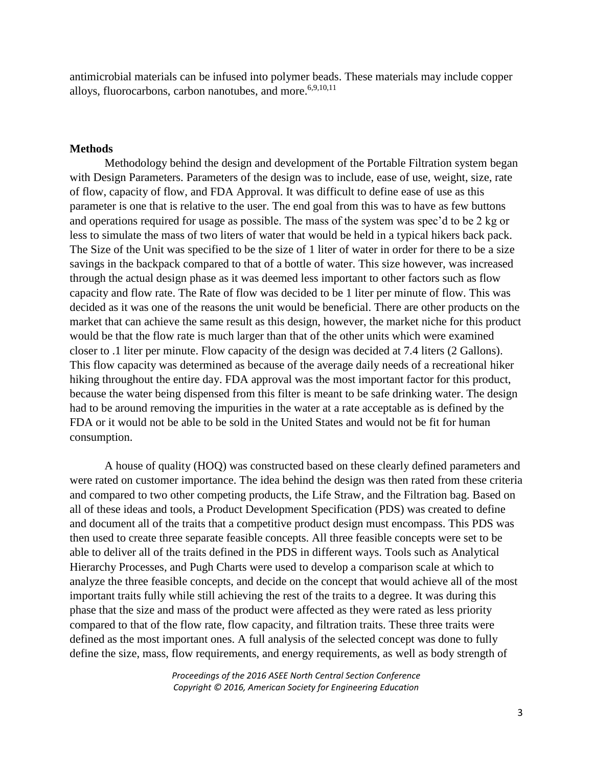antimicrobial materials can be infused into polymer beads. These materials may include copper alloys, fluorocarbons, carbon nanotubes, and more.<sup>6,9,10,11</sup>

#### **Methods**

Methodology behind the design and development of the Portable Filtration system began with Design Parameters. Parameters of the design was to include, ease of use, weight, size, rate of flow, capacity of flow, and FDA Approval. It was difficult to define ease of use as this parameter is one that is relative to the user. The end goal from this was to have as few buttons and operations required for usage as possible. The mass of the system was spec'd to be 2 kg or less to simulate the mass of two liters of water that would be held in a typical hikers back pack. The Size of the Unit was specified to be the size of 1 liter of water in order for there to be a size savings in the backpack compared to that of a bottle of water. This size however, was increased through the actual design phase as it was deemed less important to other factors such as flow capacity and flow rate. The Rate of flow was decided to be 1 liter per minute of flow. This was decided as it was one of the reasons the unit would be beneficial. There are other products on the market that can achieve the same result as this design, however, the market niche for this product would be that the flow rate is much larger than that of the other units which were examined closer to .1 liter per minute. Flow capacity of the design was decided at 7.4 liters (2 Gallons). This flow capacity was determined as because of the average daily needs of a recreational hiker hiking throughout the entire day. FDA approval was the most important factor for this product, because the water being dispensed from this filter is meant to be safe drinking water. The design had to be around removing the impurities in the water at a rate acceptable as is defined by the FDA or it would not be able to be sold in the United States and would not be fit for human consumption.

A house of quality (HOQ) was constructed based on these clearly defined parameters and were rated on customer importance. The idea behind the design was then rated from these criteria and compared to two other competing products, the Life Straw, and the Filtration bag. Based on all of these ideas and tools, a Product Development Specification (PDS) was created to define and document all of the traits that a competitive product design must encompass. This PDS was then used to create three separate feasible concepts. All three feasible concepts were set to be able to deliver all of the traits defined in the PDS in different ways. Tools such as Analytical Hierarchy Processes, and Pugh Charts were used to develop a comparison scale at which to analyze the three feasible concepts, and decide on the concept that would achieve all of the most important traits fully while still achieving the rest of the traits to a degree. It was during this phase that the size and mass of the product were affected as they were rated as less priority compared to that of the flow rate, flow capacity, and filtration traits. These three traits were defined as the most important ones. A full analysis of the selected concept was done to fully define the size, mass, flow requirements, and energy requirements, as well as body strength of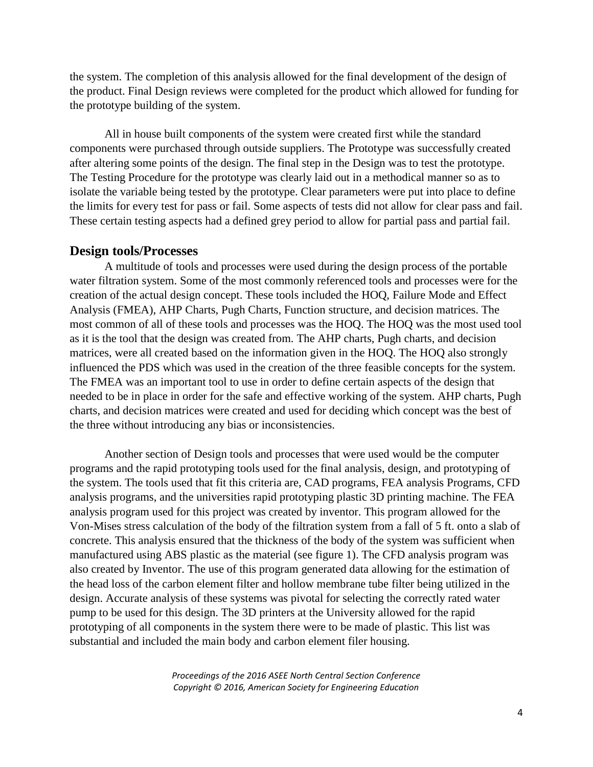the system. The completion of this analysis allowed for the final development of the design of the product. Final Design reviews were completed for the product which allowed for funding for the prototype building of the system.

All in house built components of the system were created first while the standard components were purchased through outside suppliers. The Prototype was successfully created after altering some points of the design. The final step in the Design was to test the prototype. The Testing Procedure for the prototype was clearly laid out in a methodical manner so as to isolate the variable being tested by the prototype. Clear parameters were put into place to define the limits for every test for pass or fail. Some aspects of tests did not allow for clear pass and fail. These certain testing aspects had a defined grey period to allow for partial pass and partial fail.

#### **Design tools/Processes**

A multitude of tools and processes were used during the design process of the portable water filtration system. Some of the most commonly referenced tools and processes were for the creation of the actual design concept. These tools included the HOQ, Failure Mode and Effect Analysis (FMEA), AHP Charts, Pugh Charts, Function structure, and decision matrices. The most common of all of these tools and processes was the HOQ. The HOQ was the most used tool as it is the tool that the design was created from. The AHP charts, Pugh charts, and decision matrices, were all created based on the information given in the HOQ. The HOQ also strongly influenced the PDS which was used in the creation of the three feasible concepts for the system. The FMEA was an important tool to use in order to define certain aspects of the design that needed to be in place in order for the safe and effective working of the system. AHP charts, Pugh charts, and decision matrices were created and used for deciding which concept was the best of the three without introducing any bias or inconsistencies.

Another section of Design tools and processes that were used would be the computer programs and the rapid prototyping tools used for the final analysis, design, and prototyping of the system. The tools used that fit this criteria are, CAD programs, FEA analysis Programs, CFD analysis programs, and the universities rapid prototyping plastic 3D printing machine. The FEA analysis program used for this project was created by inventor. This program allowed for the Von-Mises stress calculation of the body of the filtration system from a fall of 5 ft. onto a slab of concrete. This analysis ensured that the thickness of the body of the system was sufficient when manufactured using ABS plastic as the material (see figure 1). The CFD analysis program was also created by Inventor. The use of this program generated data allowing for the estimation of the head loss of the carbon element filter and hollow membrane tube filter being utilized in the design. Accurate analysis of these systems was pivotal for selecting the correctly rated water pump to be used for this design. The 3D printers at the University allowed for the rapid prototyping of all components in the system there were to be made of plastic. This list was substantial and included the main body and carbon element filer housing.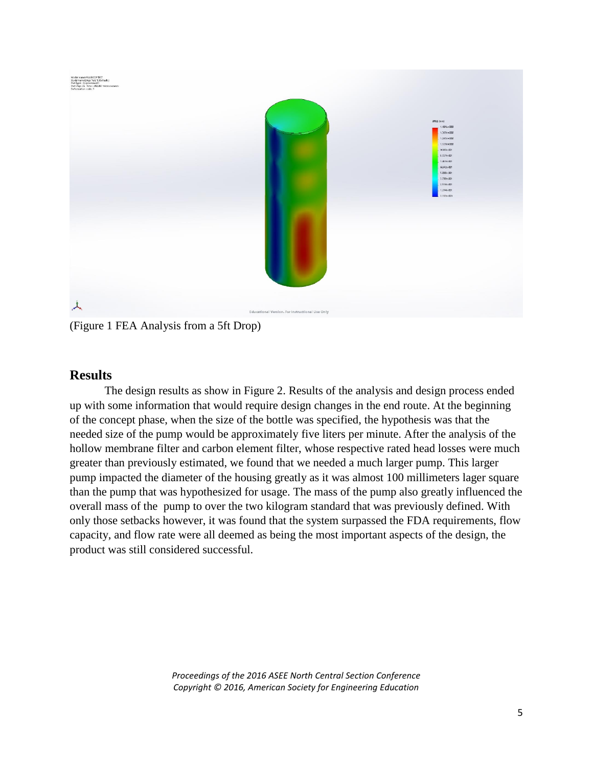

(Figure 1 FEA Analysis from a 5ft Drop)

## **Results**

The design results as show in Figure 2. Results of the analysis and design process ended up with some information that would require design changes in the end route. At the beginning of the concept phase, when the size of the bottle was specified, the hypothesis was that the needed size of the pump would be approximately five liters per minute. After the analysis of the hollow membrane filter and carbon element filter, whose respective rated head losses were much greater than previously estimated, we found that we needed a much larger pump. This larger pump impacted the diameter of the housing greatly as it was almost 100 millimeters lager square than the pump that was hypothesized for usage. The mass of the pump also greatly influenced the overall mass of the pump to over the two kilogram standard that was previously defined. With only those setbacks however, it was found that the system surpassed the FDA requirements, flow capacity, and flow rate were all deemed as being the most important aspects of the design, the product was still considered successful.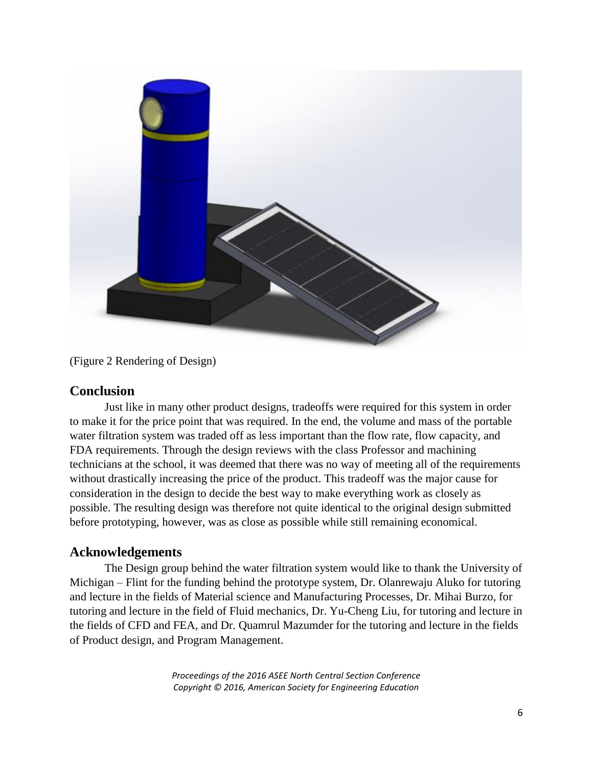

(Figure 2 Rendering of Design)

## **Conclusion**

Just like in many other product designs, tradeoffs were required for this system in order to make it for the price point that was required. In the end, the volume and mass of the portable water filtration system was traded off as less important than the flow rate, flow capacity, and FDA requirements. Through the design reviews with the class Professor and machining technicians at the school, it was deemed that there was no way of meeting all of the requirements without drastically increasing the price of the product. This tradeoff was the major cause for consideration in the design to decide the best way to make everything work as closely as possible. The resulting design was therefore not quite identical to the original design submitted before prototyping, however, was as close as possible while still remaining economical.

## **Acknowledgements**

The Design group behind the water filtration system would like to thank the University of Michigan – Flint for the funding behind the prototype system, Dr. Olanrewaju Aluko for tutoring and lecture in the fields of Material science and Manufacturing Processes, Dr. Mihai Burzo, for tutoring and lecture in the field of Fluid mechanics, Dr. Yu-Cheng Liu, for tutoring and lecture in the fields of CFD and FEA, and Dr. Quamrul Mazumder for the tutoring and lecture in the fields of Product design, and Program Management.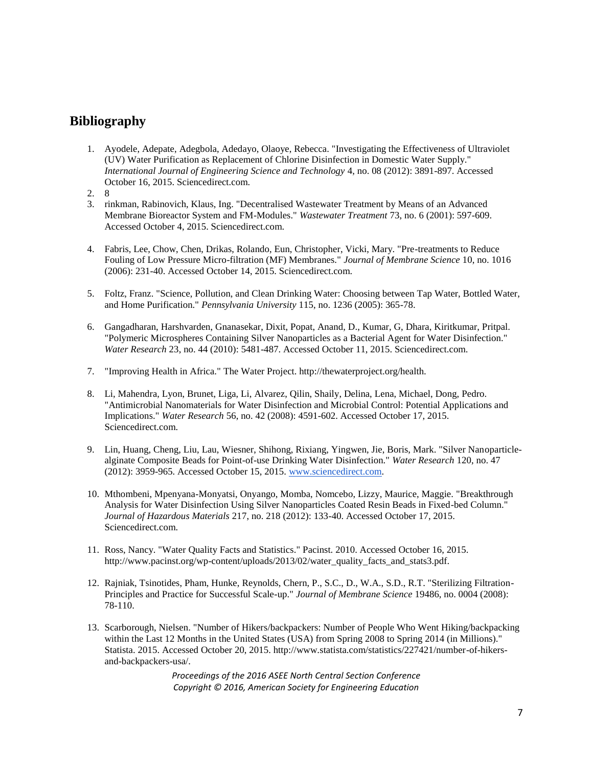## **Bibliography**

- 1. Ayodele, Adepate, Adegbola, Adedayo, Olaoye, Rebecca. "Investigating the Effectiveness of Ultraviolet (UV) Water Purification as Replacement of Chlorine Disinfection in Domestic Water Supply." *International Journal of Engineering Science and Technology* 4, no. 08 (2012): 3891-897. Accessed October 16, 2015. Sciencedirect.com.
- 2. 8
- 3. rinkman, Rabinovich, Klaus, Ing. "Decentralised Wastewater Treatment by Means of an Advanced Membrane Bioreactor System and FM-Modules." *Wastewater Treatment* 73, no. 6 (2001): 597-609. Accessed October 4, 2015. Sciencedirect.com.
- 4. Fabris, Lee, Chow, Chen, Drikas, Rolando, Eun, Christopher, Vicki, Mary. "Pre-treatments to Reduce Fouling of Low Pressure Micro-filtration (MF) Membranes." *Journal of Membrane Science* 10, no. 1016 (2006): 231-40. Accessed October 14, 2015. Sciencedirect.com.
- 5. Foltz, Franz. "Science, Pollution, and Clean Drinking Water: Choosing between Tap Water, Bottled Water, and Home Purification." *Pennsylvania University* 115, no. 1236 (2005): 365-78.
- 6. Gangadharan, Harshvarden, Gnanasekar, Dixit, Popat, Anand, D., Kumar, G, Dhara, Kiritkumar, Pritpal. "Polymeric Microspheres Containing Silver Nanoparticles as a Bacterial Agent for Water Disinfection." *Water Research* 23, no. 44 (2010): 5481-487. Accessed October 11, 2015. Sciencedirect.com.
- 7. "Improving Health in Africa." The Water Project. http://thewaterproject.org/health.
- 8. Li, Mahendra, Lyon, Brunet, Liga, Li, Alvarez, Qilin, Shaily, Delina, Lena, Michael, Dong, Pedro. "Antimicrobial Nanomaterials for Water Disinfection and Microbial Control: Potential Applications and Implications." *Water Research* 56, no. 42 (2008): 4591-602. Accessed October 17, 2015. Sciencedirect.com.
- 9. Lin, Huang, Cheng, Liu, Lau, Wiesner, Shihong, Rixiang, Yingwen, Jie, Boris, Mark. "Silver Nanoparticlealginate Composite Beads for Point-of-use Drinking Water Disinfection." *Water Research* 120, no. 47 (2012): 3959-965. Accessed October 15, 2015. [www.sciencedirect.com.](http://www.sciencedirect.com/)
- 10. Mthombeni, Mpenyana-Monyatsi, Onyango, Momba, Nomcebo, Lizzy, Maurice, Maggie. "Breakthrough Analysis for Water Disinfection Using Silver Nanoparticles Coated Resin Beads in Fixed-bed Column." *Journal of Hazardous Materials* 217, no. 218 (2012): 133-40. Accessed October 17, 2015. Sciencedirect.com.
- 11. Ross, Nancy. "Water Quality Facts and Statistics." Pacinst. 2010. Accessed October 16, 2015. http://www.pacinst.org/wp-content/uploads/2013/02/water\_quality\_facts\_and\_stats3.pdf.
- 12. Rajniak, Tsinotides, Pham, Hunke, Reynolds, Chern, P., S.C., D., W.A., S.D., R.T. "Sterilizing Filtration-Principles and Practice for Successful Scale-up." *Journal of Membrane Science* 19486, no. 0004 (2008): 78-110.
- 13. Scarborough, Nielsen. "Number of Hikers/backpackers: Number of People Who Went Hiking/backpacking within the Last 12 Months in the United States (USA) from Spring 2008 to Spring 2014 (in Millions)." Statista. 2015. Accessed October 20, 2015. http://www.statista.com/statistics/227421/number-of-hikersand-backpackers-usa/.